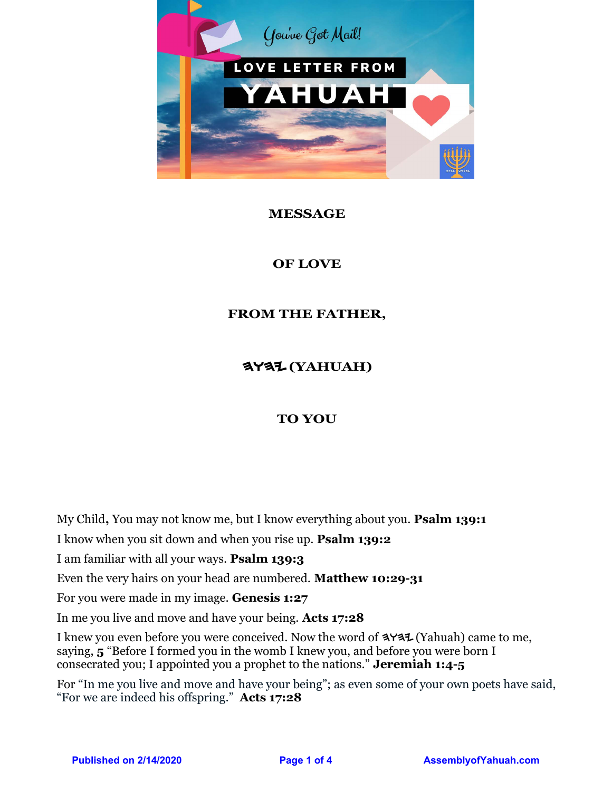

## **MESSAGE**

## **OF LOVE**

## **FROM THE FATHER,**

# HWHY **(YAHUAH)**

## **TO YOU**

My Child**,** You may not know me, but I know everything about you. **Psalm 139:1**

I know when you sit down and when you rise up. **Psalm 139:2**

I am familiar with all your ways. **Psalm 139:3**

Even the very hairs on your head are numbered. **Matthew 10:29-31**

For you were made in my image. **Genesis 1:27**

In me you live and move and have your being. **Acts 17:28**

I knew you even before you were conceived. Now the word of  $\blacktriangleleft$ Y $\blacktriangleleft\uparrow$  (Yahuah) came to me, saying, **5** "Before I formed you in the womb I knew you, and before you were born I consecrated you; I appointed you a prophet to the nations." **Jeremiah 1:4-5**

For "In me you live and move and have your being"; as even some of your own poets have said, "For we are indeed his offspring." **Acts 17:28**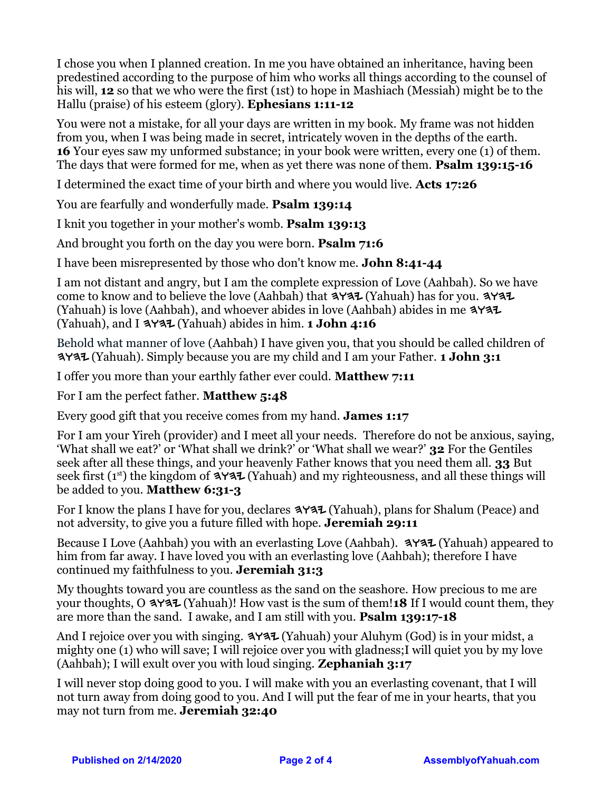I chose you when I planned creation. In me you have obtained an inheritance, having been predestined according to the purpose of him who works all things according to the counsel of his will, **12** so that we who were the first (1st) to hope in Mashiach (Messiah) might be to the Hallu (praise) of his esteem (glory). **Ephesians 1:11-12**

You were not a mistake, for all your days are written in my book. My frame was not hidden from you, when I was being made in secret, intricately woven in the depths of the earth. **16** Your eyes saw my unformed substance; in your book were written, every one (1) of them. The days that were formed for me, when as yet there was none of them. **Psalm 139:15-16**

I determined the exact time of your birth and where you would live. **Acts 17:26**

You are fearfully and wonderfully made. **Psalm 139:14**

I knit you together in your mother's womb. **Psalm 139:13**

And brought you forth on the day you were born. **Psalm 71:6**

I have been misrepresented by those who don't know me. **John 8:41-44**

I am not distant and angry, but I am the complete expression of Love (Aahbah). So we have come to know and to believe the love (Aahbah) that  $\blacktriangleleft$ YAZ (Yahuah) has for you.  $\blacktriangleleft$ YAZ (Yahuah) is love (Aahbah), and whoever abides in love (Aahbah) abides in me  $\blacktriangle$ (Yahuah), and I  $\exists Y \exists \mathcal{I}$  (Yahuah) abides in him. **1 John 4:16** 

Behold what manner of love (Aahbah) I have given you, that you should be called children of hwhy (Yahuah). Simply because you are my child and I am your Father. **1 John 3:1** 

I offer you more than your earthly father ever could. **Matthew 7:11**

For I am the perfect father. **Matthew 5:48**

Every good gift that you receive comes from my hand. **James 1:17**

For I am your Yireh (provider) and I meet all your needs. Therefore do not be anxious, saying, 'What shall we eat?' or 'What shall we drink?' or 'What shall we wear?' **32** For the Gentiles seek after all these things, and your heavenly Father knows that you need them all. **33** But seek first ( $1<sup>st</sup>$ ) the kingdom of  $\blacktriangleleft$   $\blacktriangleright$  (Yahuah) and my righteousness, and all these things will be added to you. **Matthew 6:31-3** 

For I know the plans I have for you, declares  $\exists Y \exists \mathcal{I}$  (Yahuah), plans for Shalum (Peace) and not adversity, to give you a future filled with hope. **Jeremiah 29:11**

Because I Love (Aahbah) you with an everlasting Love (Aahbah).  $\blacktriangleleft$  Y $\blacktriangleleft\uparrow$  (Yahuah) appeared to him from far away. I have loved you with an everlasting love (Aahbah); therefore I have continued my faithfulness to you. **Jeremiah 31:3**

My thoughts toward you are countless as the sand on the seashore. How precious to me are your thoughts, O **3Y37** (Yahuah)! How vast is the sum of them! **18** If I would count them, they are more than the sand. I awake, and I am still with you. **Psalm 139:17-18**

And I rejoice over you with singing.  $\blacktriangle$  Yaz (Yahuah) your Aluhym (God) is in your midst, a mighty one (1) who will save; I will rejoice over you with gladness;I will quiet you by my love (Aahbah); I will exult over you with loud singing. **Zephaniah 3:17**

I will never stop doing good to you. I will make with you an everlasting covenant, that I will not turn away from doing good to you. And I will put the fear of me in your hearts, that you may not turn from me. **Jeremiah 32:40**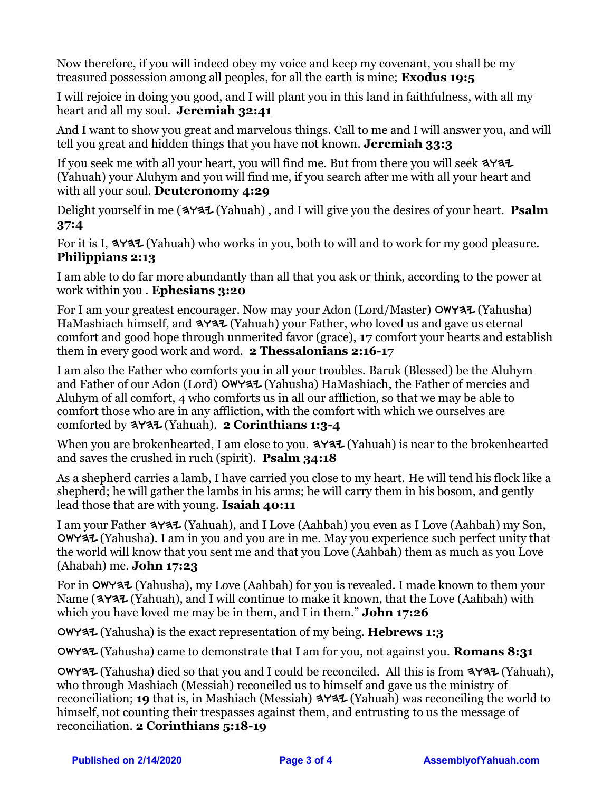Now therefore, if you will indeed obey my voice and keep my covenant, you shall be my treasured possession among all peoples, for all the earth is mine; **Exodus 19:5**

I will rejoice in doing you good, and I will plant you in this land in faithfulness, with all my heart and all my soul. **Jeremiah 32:41**

And I want to show you great and marvelous things. Call to me and I will answer you, and will tell you great and hidden things that you have not known. **Jeremiah 33:3**

If you seek me with all your heart, you will find me. But from there you will seek  $\blacktriangleleft$ (Yahuah) your Aluhym and you will find me, if you search after me with all your heart and with all your soul. **Deuteronomy 4:29**

Delight yourself in me (3Y37 (Yahuah), and I will give you the desires of your heart. **Psalm 37:4**

For it is I,  $\blacktriangle$   $\blacktriangle$  (Yahuah) who works in you, both to will and to work for my good pleasure. **Philippians 2:13**

I am able to do far more abundantly than all that you ask or think, according to the power at work within you . **Ephesians 3:20**

For I am your greatest encourager. Now may your Adon (Lord/Master)  $\text{OWY3L}$  (Yahusha) HaMashiach himself, and  $\angle 4$  (Yahuah) your Father, who loved us and gave us eternal comfort and good hope through unmerited favor (grace), **17** comfort your hearts and establish them in every good work and word. **2 Thessalonians 2:16-17**

I am also the Father who comforts you in all your troubles. Baruk (Blessed) be the Aluhym and Father of our Adon (Lord) OWYAZ (Yahusha) HaMashiach, the Father of mercies and Aluhym of all comfort, 4 who comforts us in all our affliction, so that we may be able to comfort those who are in any affliction, with the comfort with which we ourselves are comforted by  $\triangleleft$ Y<sub>3</sub><sup>1</sup> (Yahuah). **2 Corinthians 1:3-4** 

When you are brokenhearted, I am close to you.  $\blacktriangleleft Y \blacktriangleleft Z$  (Yahuah) is near to the brokenhearted and saves the crushed in ruch (spirit). **Psalm 34:18**

As a shepherd carries a lamb, I have carried you close to my heart. He will tend his flock like a shepherd; he will gather the lambs in his arms; he will carry them in his bosom, and gently lead those that are with young. **Isaiah 40:11**

I am your Father  $\blacktriangleleft Y \blacktriangleleft \mathcal{I}$  (Yahuah), and I Love (Aahbah) you even as I Love (Aahbah) my Son,  $\alpha$  (Yahusha). I am in you and you are in me. May you experience such perfect unity that the world will know that you sent me and that you Love (Aahbah) them as much as you Love (Ahabah) me. **John 17:23**

For in [cwhy (Yahusha), my Love (Aahbah) for you is revealed. I made known to them your Name (3737 (Yahuah), and I will continue to make it known, that the Love (Aahbah) with which you have loved me may be in them, and I in them." **John 17:26**

[cwhy (Yahusha) is the exact representation of my being. **Hebrews 1:3**

[cwhy (Yahusha) came to demonstrate that I am for you, not against you. **Romans 8:31**

 $\alpha$  (Yahusha) died so that you and I could be reconciled. All this is from  $\alpha$   $\alpha$ . (Yahuah), who through Mashiach (Messiah) reconciled us to himself and gave us the ministry of reconciliation; **19** that is, in Mashiach (Messiah) **3737** (Yahuah) was reconciling the world to himself, not counting their trespasses against them, and entrusting to us the message of reconciliation. **2 Corinthians 5:18-19**